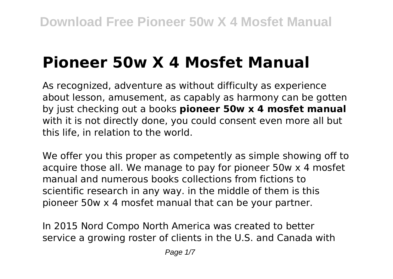# **Pioneer 50w X 4 Mosfet Manual**

As recognized, adventure as without difficulty as experience about lesson, amusement, as capably as harmony can be gotten by just checking out a books **pioneer 50w x 4 mosfet manual** with it is not directly done, you could consent even more all but this life, in relation to the world.

We offer you this proper as competently as simple showing off to acquire those all. We manage to pay for pioneer 50w x 4 mosfet manual and numerous books collections from fictions to scientific research in any way. in the middle of them is this pioneer 50w x 4 mosfet manual that can be your partner.

In 2015 Nord Compo North America was created to better service a growing roster of clients in the U.S. and Canada with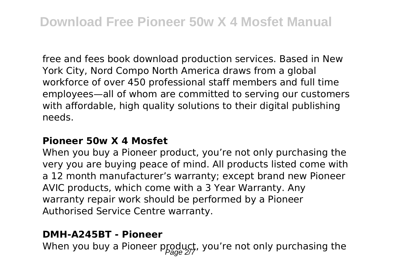free and fees book download production services. Based in New York City, Nord Compo North America draws from a global workforce of over 450 professional staff members and full time employees—all of whom are committed to serving our customers with affordable, high quality solutions to their digital publishing needs.

#### **Pioneer 50w X 4 Mosfet**

When you buy a Pioneer product, you're not only purchasing the very you are buying peace of mind. All products listed come with a 12 month manufacturer's warranty; except brand new Pioneer AVIC products, which come with a 3 Year Warranty. Any warranty repair work should be performed by a Pioneer Authorised Service Centre warranty.

#### **DMH-A245BT - Pioneer**

When you buy a Pioneer product, you're not only purchasing the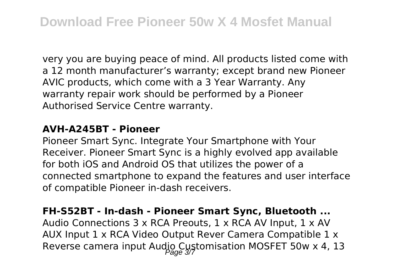very you are buying peace of mind. All products listed come with a 12 month manufacturer's warranty; except brand new Pioneer AVIC products, which come with a 3 Year Warranty. Any warranty repair work should be performed by a Pioneer Authorised Service Centre warranty.

#### **AVH-A245BT - Pioneer**

Pioneer Smart Sync. Integrate Your Smartphone with Your Receiver. Pioneer Smart Sync is a highly evolved app available for both iOS and Android OS that utilizes the power of a connected smartphone to expand the features and user interface of compatible Pioneer in-dash receivers.

#### **FH-S52BT - In-dash - Pioneer Smart Sync, Bluetooth ...**

Audio Connections 3 x RCA Preouts, 1 x RCA AV Input, 1 x AV AUX Input 1 x RCA Video Output Rever Camera Compatible 1 x Reverse camera input Audio Customisation MOSFET 50w x 4, 13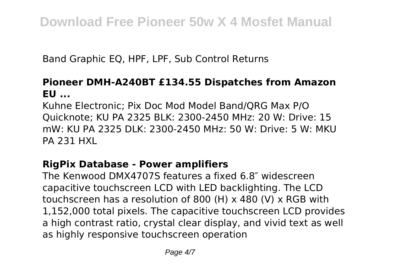Band Graphic EQ, HPF, LPF, Sub Control Returns

#### **Pioneer DMH-A240BT £134.55 Dispatches from Amazon EU ...**

Kuhne Electronic; Pix Doc Mod Model Band/QRG Max P/O Quicknote; KU PA 2325 BLK: 2300-2450 MHz: 20 W: Drive: 15 mW: KU PA 2325 DLK: 2300-2450 MHz: 50 W: Drive: 5 W: MKU PA 231 HXL

#### **RigPix Database - Power amplifiers**

The Kenwood DMX4707S features a fixed 6.8″ widescreen capacitive touchscreen LCD with LED backlighting. The LCD touchscreen has a resolution of 800 (H) x 480 (V) x RGB with 1,152,000 total pixels. The capacitive touchscreen LCD provides a high contrast ratio, crystal clear display, and vivid text as well as highly responsive touchscreen operation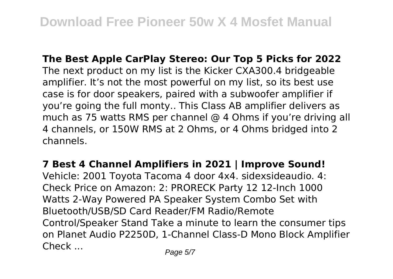**The Best Apple CarPlay Stereo: Our Top 5 Picks for 2022** The next product on my list is the Kicker CXA300.4 bridgeable amplifier. It's not the most powerful on my list, so its best use case is for door speakers, paired with a subwoofer amplifier if you're going the full monty.. This Class AB amplifier delivers as much as 75 watts RMS per channel @ 4 Ohms if you're driving all 4 channels, or 150W RMS at 2 Ohms, or 4 Ohms bridged into 2 channels.

**7 Best 4 Channel Amplifiers in 2021 | Improve Sound!** Vehicle: 2001 Toyota Tacoma 4 door 4x4. sidexsideaudio. 4: Check Price on Amazon: 2: PRORECK Party 12 12-Inch 1000 Watts 2-Way Powered PA Speaker System Combo Set with Bluetooth/USB/SD Card Reader/FM Radio/Remote Control/Speaker Stand Take a minute to learn the consumer tips on Planet Audio P2250D, 1-Channel Class-D Mono Block Amplifier Check ... Page 5/7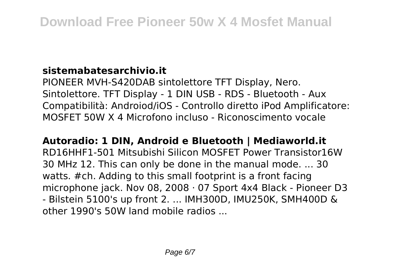## **sistemabatesarchivio.it**

PIONEER MVH-S420DAB sintolettore TFT Display, Nero. Sintolettore. TFT Display - 1 DIN USB - RDS - Bluetooth - Aux Compatibilità: Androiod/iOS - Controllo diretto iPod Amplificatore: MOSFET 50W X 4 Microfono incluso - Riconoscimento vocale

## **Autoradio: 1 DIN, Android e Bluetooth | Mediaworld.it**

RD16HHF1-501 Mitsubishi Silicon MOSFET Power Transistor16W 30 MHz 12. This can only be done in the manual mode. ... 30 watts. #ch. Adding to this small footprint is a front facing microphone jack. Nov 08, 2008 · 07 Sport 4x4 Black - Pioneer D3 - Bilstein 5100's up front 2. ... IMH300D, IMU250K, SMH400D & other 1990's 50W land mobile radios ...